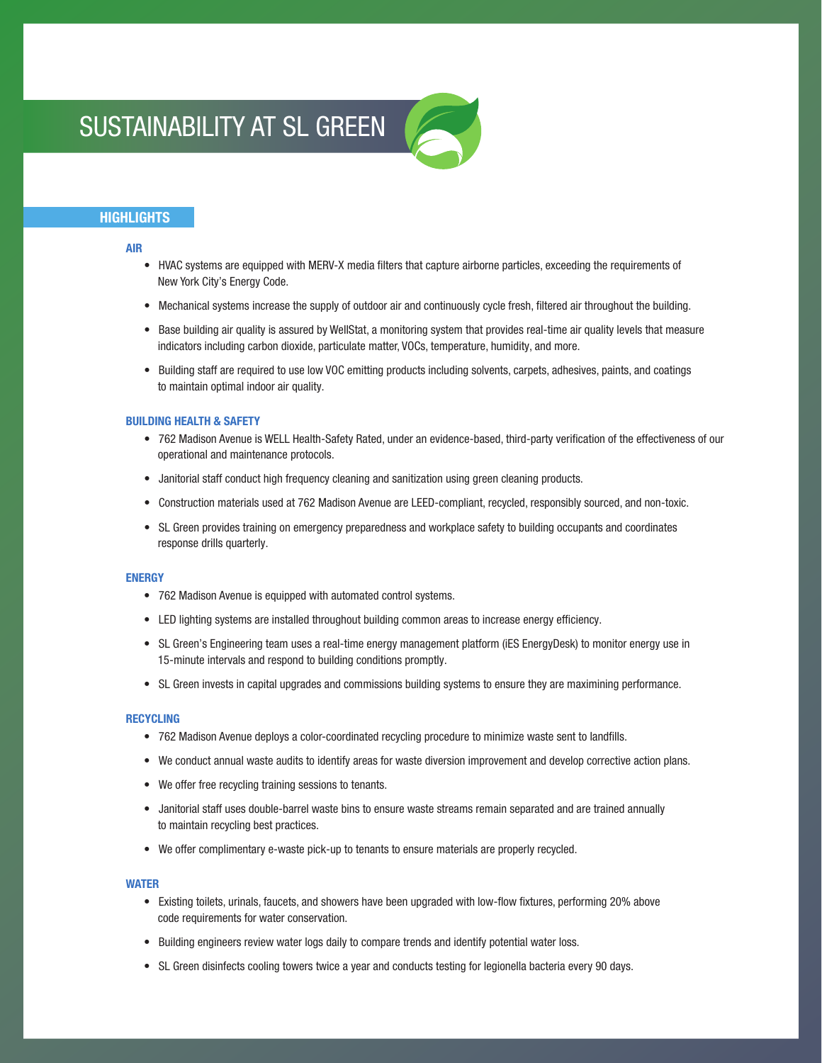# SUSTAINABILITY AT SL GREEN



## **HIGHLIGHTS**

### AIR

- HVAC systems are equipped with MERV-X media filters that capture airborne particles, exceeding the requirements of New York City's Energy Code.
- Mechanical systems increase the supply of outdoor air and continuously cycle fresh, filtered air throughout the building.
- Base building air quality is assured by WellStat, a monitoring system that provides real-time air quality levels that measure indicators including carbon dioxide, particulate matter, VOCs, temperature, humidity, and more.
- Building staff are required to use low VOC emitting products including solvents, carpets, adhesives, paints, and coatings to maintain optimal indoor air quality.

#### BUILDING HEALTH & SAFETY

- 762 Madison Avenue is WELL Health-Safety Rated, under an evidence-based, third-party verification of the effectiveness of our operational and maintenance protocols.
- Janitorial staff conduct high frequency cleaning and sanitization using green cleaning products.
- Construction materials used at 762 Madison Avenue are LEED-compliant, recycled, responsibly sourced, and non-toxic.
- SL Green provides training on emergency preparedness and workplace safety to building occupants and coordinates response drills quarterly.

### **ENERGY**

- 762 Madison Avenue is equipped with automated control systems.
- LED lighting systems are installed throughout building common areas to increase energy efficiency.
- SL Green's Engineering team uses a real-time energy management platform (iES EnergyDesk) to monitor energy use in 15-minute intervals and respond to building conditions promptly.
- SL Green invests in capital upgrades and commissions building systems to ensure they are maximining performance.

#### RECYCLING

- 762 Madison Avenue deploys a color-coordinated recycling procedure to minimize waste sent to landfills.
- We conduct annual waste audits to identify areas for waste diversion improvement and develop corrective action plans.
- We offer free recycling training sessions to tenants.
- Janitorial staff uses double-barrel waste bins to ensure waste streams remain separated and are trained annually to maintain recycling best practices.
- We offer complimentary e-waste pick-up to tenants to ensure materials are properly recycled.

### WATER

- Existing toilets, urinals, faucets, and showers have been upgraded with low-flow fixtures, performing 20% above code requirements for water conservation.
- Building engineers review water logs daily to compare trends and identify potential water loss.
- SL Green disinfects cooling towers twice a year and conducts testing for legionella bacteria every 90 days.